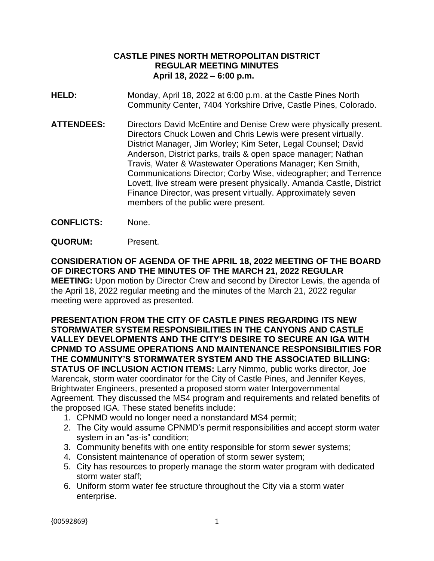## **CASTLE PINES NORTH METROPOLITAN DISTRICT REGULAR MEETING MINUTES April 18, 2022 – 6:00 p.m.**

- **HELD:** Monday, April 18, 2022 at 6:00 p.m. at the Castle Pines North Community Center, 7404 Yorkshire Drive, Castle Pines, Colorado.
- **ATTENDEES:** Directors David McEntire and Denise Crew were physically present. Directors Chuck Lowen and Chris Lewis were present virtually. District Manager, Jim Worley; Kim Seter, Legal Counsel; David Anderson, District parks, trails & open space manager; Nathan Travis, Water & Wastewater Operations Manager; Ken Smith, Communications Director; Corby Wise, videographer; and Terrence Lovett, live stream were present physically. Amanda Castle, District Finance Director, was present virtually. Approximately seven members of the public were present.
- **CONFLICTS:** None.
- **QUORUM:** Present.

**CONSIDERATION OF AGENDA OF THE APRIL 18, 2022 MEETING OF THE BOARD OF DIRECTORS AND THE MINUTES OF THE MARCH 21, 2022 REGULAR MEETING:** Upon motion by Director Crew and second by Director Lewis, the agenda of the April 18, 2022 regular meeting and the minutes of the March 21, 2022 regular meeting were approved as presented.

## **PRESENTATION FROM THE CITY OF CASTLE PINES REGARDING ITS NEW STORMWATER SYSTEM RESPONSIBILITIES IN THE CANYONS AND CASTLE VALLEY DEVELOPMENTS AND THE CITY'S DESIRE TO SECURE AN IGA WITH CPNMD TO ASSUME OPERATIONS AND MAINTENANCE RESPONSIBILITIES FOR THE COMMUNITY'S STORMWATER SYSTEM AND THE ASSOCIATED BILLING: STATUS OF INCLUSION ACTION ITEMS:** Larry Nimmo, public works director, Joe Marencak, storm water coordinator for the City of Castle Pines, and Jennifer Keyes, Brightwater Engineers, presented a proposed storm water Intergovernmental

Agreement. They discussed the MS4 program and requirements and related benefits of the proposed IGA. These stated benefits include:

- 1. CPNMD would no longer need a nonstandard MS4 permit;
- 2. The City would assume CPNMD's permit responsibilities and accept storm water system in an "as-is" condition;
- 3. Community benefits with one entity responsible for storm sewer systems;
- 4. Consistent maintenance of operation of storm sewer system;
- 5. City has resources to properly manage the storm water program with dedicated storm water staff;
- 6. Uniform storm water fee structure throughout the City via a storm water enterprise.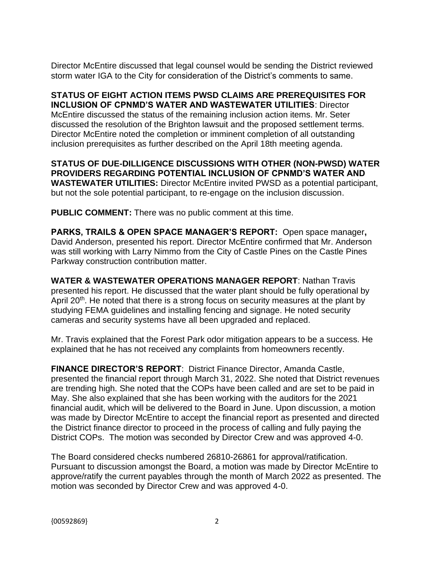Director McEntire discussed that legal counsel would be sending the District reviewed storm water IGA to the City for consideration of the District's comments to same.

**STATUS OF EIGHT ACTION ITEMS PWSD CLAIMS ARE PREREQUISITES FOR INCLUSION OF CPNMD'S WATER AND WASTEWATER UTILITIES**: Director McEntire discussed the status of the remaining inclusion action items. Mr. Seter discussed the resolution of the Brighton lawsuit and the proposed settlement terms. Director McEntire noted the completion or imminent completion of all outstanding inclusion prerequisites as further described on the April 18th meeting agenda.

**STATUS OF DUE-DILLIGENCE DISCUSSIONS WITH OTHER (NON-PWSD) WATER PROVIDERS REGARDING POTENTIAL INCLUSION OF CPNMD'S WATER AND WASTEWATER UTILITIES:** Director McEntire invited PWSD as a potential participant, but not the sole potential participant, to re-engage on the inclusion discussion.

**PUBLIC COMMENT:** There was no public comment at this time.

**PARKS, TRAILS & OPEN SPACE MANAGER'S REPORT:** Open space manager**,**  David Anderson, presented his report. Director McEntire confirmed that Mr. Anderson was still working with Larry Nimmo from the City of Castle Pines on the Castle Pines Parkway construction contribution matter.

**WATER & WASTEWATER OPERATIONS MANAGER REPORT**: Nathan Travis presented his report. He discussed that the water plant should be fully operational by April 20<sup>th</sup>. He noted that there is a strong focus on security measures at the plant by studying FEMA guidelines and installing fencing and signage. He noted security cameras and security systems have all been upgraded and replaced.

Mr. Travis explained that the Forest Park odor mitigation appears to be a success. He explained that he has not received any complaints from homeowners recently.

**FINANCE DIRECTOR'S REPORT**: District Finance Director, Amanda Castle, presented the financial report through March 31, 2022. She noted that District revenues are trending high. She noted that the COPs have been called and are set to be paid in May. She also explained that she has been working with the auditors for the 2021 financial audit, which will be delivered to the Board in June. Upon discussion, a motion was made by Director McEntire to accept the financial report as presented and directed the District finance director to proceed in the process of calling and fully paying the District COPs. The motion was seconded by Director Crew and was approved 4-0.

The Board considered checks numbered 26810-26861 for approval/ratification. Pursuant to discussion amongst the Board, a motion was made by Director McEntire to approve/ratify the current payables through the month of March 2022 as presented. The motion was seconded by Director Crew and was approved 4-0.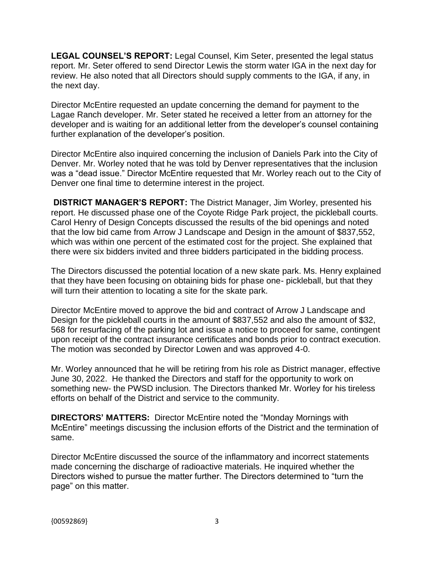**LEGAL COUNSEL'S REPORT:** Legal Counsel, Kim Seter, presented the legal status report. Mr. Seter offered to send Director Lewis the storm water IGA in the next day for review. He also noted that all Directors should supply comments to the IGA, if any, in the next day.

Director McEntire requested an update concerning the demand for payment to the Lagae Ranch developer. Mr. Seter stated he received a letter from an attorney for the developer and is waiting for an additional letter from the developer's counsel containing further explanation of the developer's position.

Director McEntire also inquired concerning the inclusion of Daniels Park into the City of Denver. Mr. Worley noted that he was told by Denver representatives that the inclusion was a "dead issue." Director McEntire requested that Mr. Worley reach out to the City of Denver one final time to determine interest in the project.

**DISTRICT MANAGER'S REPORT:** The District Manager, Jim Worley, presented his report. He discussed phase one of the Coyote Ridge Park project, the pickleball courts. Carol Henry of Design Concepts discussed the results of the bid openings and noted that the low bid came from Arrow J Landscape and Design in the amount of \$837,552, which was within one percent of the estimated cost for the project. She explained that there were six bidders invited and three bidders participated in the bidding process.

The Directors discussed the potential location of a new skate park. Ms. Henry explained that they have been focusing on obtaining bids for phase one- pickleball, but that they will turn their attention to locating a site for the skate park.

Director McEntire moved to approve the bid and contract of Arrow J Landscape and Design for the pickleball courts in the amount of \$837,552 and also the amount of \$32, 568 for resurfacing of the parking lot and issue a notice to proceed for same, contingent upon receipt of the contract insurance certificates and bonds prior to contract execution. The motion was seconded by Director Lowen and was approved 4-0.

Mr. Worley announced that he will be retiring from his role as District manager, effective June 30, 2022. He thanked the Directors and staff for the opportunity to work on something new- the PWSD inclusion. The Directors thanked Mr. Worley for his tireless efforts on behalf of the District and service to the community.

**DIRECTORS' MATTERS:** Director McEntire noted the "Monday Mornings with McEntire" meetings discussing the inclusion efforts of the District and the termination of same.

Director McEntire discussed the source of the inflammatory and incorrect statements made concerning the discharge of radioactive materials. He inquired whether the Directors wished to pursue the matter further. The Directors determined to "turn the page" on this matter.